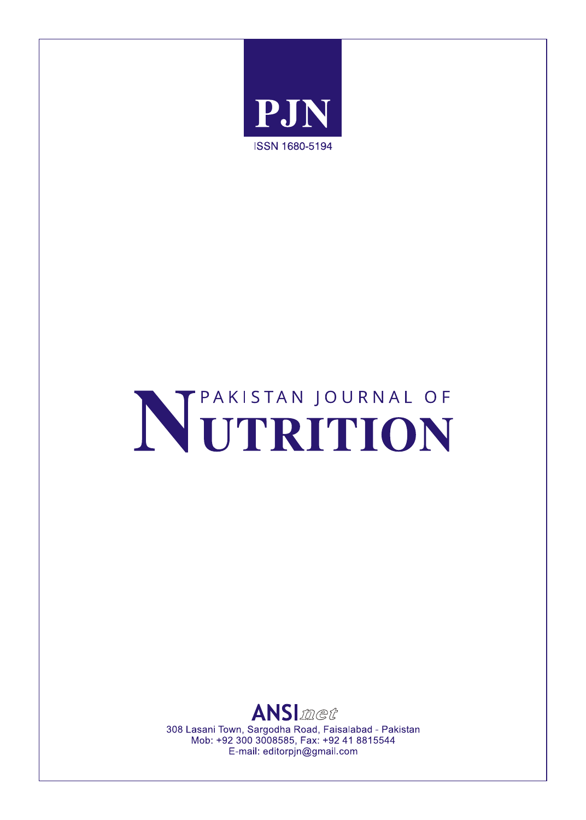

# NETRITION



308 Lasani Town, Sargodha Road, Faisalabad - Pakistan Mob: +92 300 3008585, Fax: +92 41 8815544 E-mail: editorpjn@gmail.com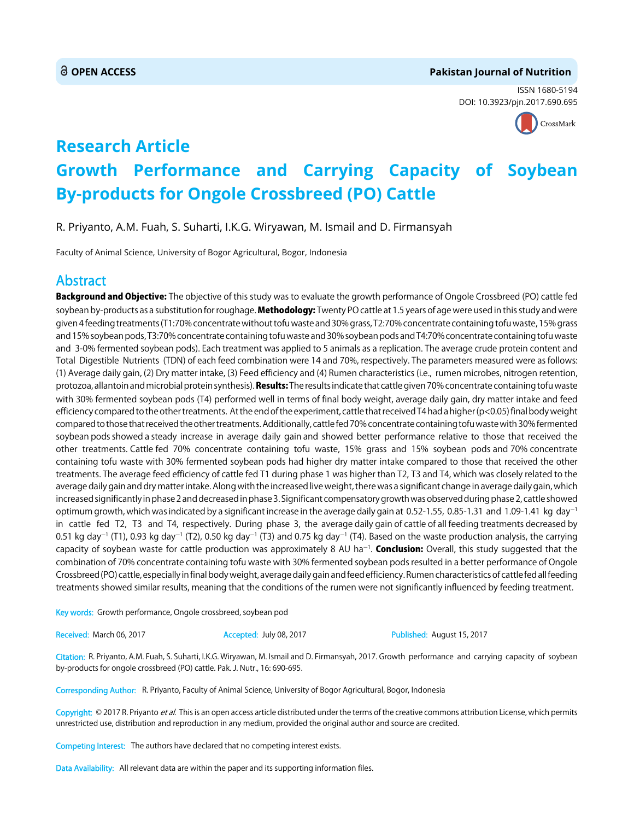#### **OPEN ACCESS Pakistan Journal of Nutrition**

ISSN 1680-5194 DOI: 10.3923/pjn.2017.690.695



## **Research Article Growth Performance and Carrying Capacity of Soybean By-products for Ongole Crossbreed (PO) Cattle**

R. Priyanto, A.M. Fuah, S. Suharti, I.K.G. Wiryawan, M. Ismail and D. Firmansyah

Faculty of Animal Science, University of Bogor Agricultural, Bogor, Indonesia

### Abstract

Background and Objective: The objective of this study was to evaluate the growth performance of Ongole Crossbreed (PO) cattle fed soybean by-products as a substitution for roughage. Methodology: Twenty PO cattle at 1.5 years of age were used in this study and were given 4 feeding treatments (T1:70% concentrate without tofu waste and 30% grass, T2:70% concentrate containing tofu waste, 15% grass and 15% soybean pods, T3:70% concentrate containing tofu waste and 30% soybean pods and T4:70% concentrate containing tofu waste and 3-0% fermented soybean pods). Each treatment was applied to 5 animals as a replication. The average crude protein content and Total Digestible Nutrients (TDN) of each feed combination were 14 and 70%, respectively. The parameters measured were as follows: (1) Average daily gain, (2) Dry matter intake, (3) Feed efficiency and (4) Rumen characteristics (i.e., rumen microbes, nitrogen retention, protozoa, allantoin and microbial protein synthesis). Results: The results indicate that cattle given 70% concentrate containing tofu waste with 30% fermented soybean pods (T4) performed well in terms of final body weight, average daily gain, dry matter intake and feed efficiency compared to the other treatments. At the end of the experiment, cattle that received T4 had a higher (p<0.05) final body weight compared to those that received the other treatments. Additionally, cattle fed 70% concentrate containing tofu waste with 30% fermented soybean pods showed a steady increase in average daily gain and showed better performance relative to those that received the other treatments. Cattle fed 70% concentrate containing tofu waste, 15% grass and 15% soybean pods and 70% concentrate containing tofu waste with 30% fermented soybean pods had higher dry matter intake compared to those that received the other treatments. The average feed efficiency of cattle fed T1 during phase 1 was higher than T2, T3 and T4, which was closely related to the average daily gain and dry matter intake. Along with the increased live weight, there was a significant change in average daily gain, which increased significantly in phase 2 and decreased in phase 3. Significant compensatory growth was observed during phase 2, cattle showed optimum growth, which was indicated by a significant increase in the average daily gain at 0.52-1.55, 0.85-1.31 and 1.09-1.41 kg day<sup>-1</sup> in cattle fed T2, T3 and T4, respectively. During phase 3, the average daily gain of cattle of all feeding treatments decreased by 0.51 kg day<sup>-1</sup> (T1), 0.93 kg day<sup>-1</sup> (T2), 0.50 kg day<sup>-1</sup> (T3) and 0.75 kg day<sup>-1</sup> (T4). Based on the waste production analysis, the carrying capacity of soybean waste for cattle production was approximately 8 AU ha<sup>–1</sup>. **Conclusion:** Overall, this study suggested that the combination of 70% concentrate containing tofu waste with 30% fermented soybean pods resulted in a better performance of Ongole Crossbreed (PO) cattle, especially in final body weight, average daily gain and feed efficiency. Rumen characteristics of cattle fed all feeding treatments showed similar results, meaning that the conditions of the rumen were not significantly influenced by feeding treatment.

Key words: Growth performance, Ongole crossbreed, soybean pod

Received: March 06, 2017 **Accepted: July 08, 2017** Published: August 15, 2017

Citation: R. Priyanto, A.M. Fuah, S. Suharti, I.K.G. Wiryawan, M. Ismail and D. Firmansyah, 2017. Growth performance and carrying capacity of soybean by-products for ongole crossbreed (PO) cattle. Pak. J. Nutr., 16: 690-695.

Corresponding Author: R. Priyanto, Faculty of Animal Science, University of Bogor Agricultural, Bogor, Indonesia

Copyright: © 2017 R. Priyanto et al. This is an open access article distributed under the terms of the creative commons attribution License, which permits unrestricted use, distribution and reproduction in any medium, provided the original author and source are credited.

Competing Interest: The authors have declared that no competing interest exists.

Data Availability: All relevant data are within the paper and its supporting information files.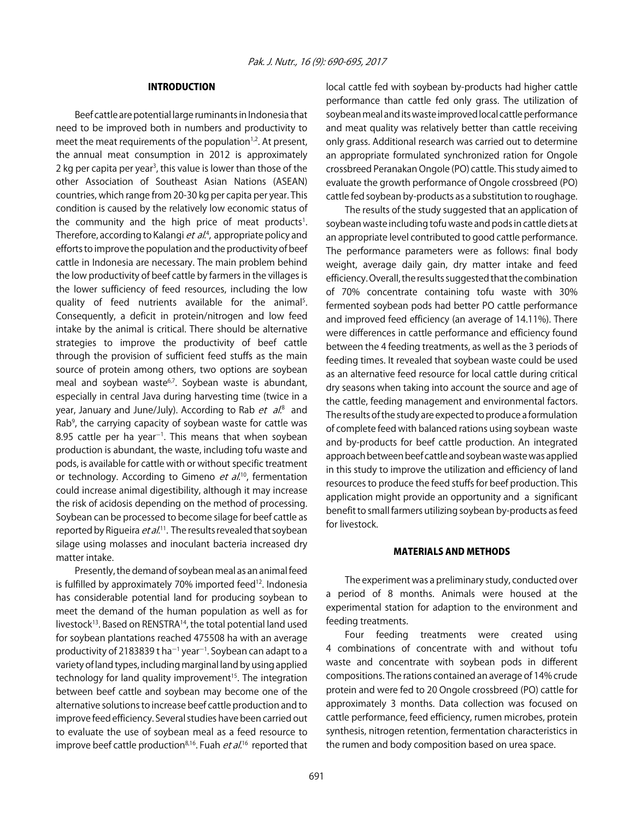#### INTRODUCTION

Beef cattle are potential large ruminants in Indonesia that need to be improved both in numbers and productivity to meet the meat requirements of the population $1,2$ . At present, the annual meat consumption in 2012 is approximately 2 kg per capita per year<sup>3</sup>, this value is lower than those of the other Association of Southeast Asian Nations (ASEAN) countries, which range from 20-30 kg per capita per year. This condition is caused by the relatively low economic status of the community and the high price of meat products<sup>1</sup>. Therefore, according to Kalangi *et al*.<sup>4</sup>, appropriate policy and efforts to improve the population and the productivity of beef cattle in Indonesia are necessary. The main problem behind the low productivity of beef cattle by farmers in the villages is the lower sufficiency of feed resources, including the low quality of feed nutrients available for the animal<sup>5</sup>. Consequently, a deficit in protein/nitrogen and low feed intake by the animal is critical. There should be alternative strategies to improve the productivity of beef cattle through the provision of sufficient feed stuffs as the main source of protein among others, two options are soybean meal and soybean waste<sup>6,7</sup>. Soybean waste is abundant, especially in central Java during harvesting time (twice in a year, January and June/July). According to Rab *et al*.<sup>8</sup> and Rab<sup>9</sup>, the carrying capacity of soybean waste for cattle was 8.95 cattle per ha year $^{-1}$ . This means that when soybean production is abundant, the waste, including tofu waste and pods, is available for cattle with or without specific treatment or technology. According to Gimeno  $et$   $al^{10}$ , fermentation could increase animal digestibility, although it may increase the risk of acidosis depending on the method of processing. Soybean can be processed to become silage for beef cattle as reported by Rigueira  $et al.<sup>11</sup>$ . The results revealed that soybean silage using molasses and inoculant bacteria increased dry matter intake.

Presently, the demand of soybean meal as an animal feed is fulfilled by approximately 70% imported feed<sup>12</sup>. Indonesia has considerable potential land for producing soybean to meet the demand of the human population as well as for livestock<sup>13</sup>. Based on RENSTRA<sup>14</sup>, the total potential land used for soybean plantations reached 475508 ha with an average productivity of 2183839 t ha<sup>-1</sup> year<sup>-1</sup>. Soybean can adapt to a variety of land types, including marginal land by using applied technology for land quality improvement<sup>15</sup>. The integration between beef cattle and soybean may become one of the alternative solutions to increase beef cattle production and to improve feed efficiency. Several studies have been carried out to evaluate the use of soybean meal as a feed resource to improve beef cattle production<sup>8,16</sup>. Fuah et al.<sup>16</sup> reported that local cattle fed with soybean by-products had higher cattle performance than cattle fed only grass. The utilization of soybean meal and its waste improved local cattle performance and meat quality was relatively better than cattle receiving only grass. Additional research was carried out to determine an appropriate formulated synchronized ration for Ongole crossbreed Peranakan Ongole (PO) cattle. This study aimed to evaluate the growth performance of Ongole crossbreed (PO) cattle fed soybean by-products as a substitution to roughage.

The results of the study suggested that an application of soybean waste including tofu waste and pods in cattle diets at an appropriate level contributed to good cattle performance. The performance parameters were as follows: final body weight, average daily gain, dry matter intake and feed efficiency. Overall, the results suggested that the combination of 70% concentrate containing tofu waste with 30% fermented soybean pods had better PO cattle performance and improved feed efficiency (an average of 14.11%). There were differences in cattle performance and efficiency found between the 4 feeding treatments, as well as the 3 periods of feeding times. It revealed that soybean waste could be used as an alternative feed resource for local cattle during critical dry seasons when taking into account the source and age of the cattle, feeding management and environmental factors. The results of the study are expected to produce a formulation of complete feed with balanced rations using soybean waste and by-products for beef cattle production. An integrated approach between beef cattle and soybean waste was applied in this study to improve the utilization and efficiency of land resources to produce the feed stuffs for beef production. This application might provide an opportunity and a significant benefit to small farmers utilizing soybean by-products as feed for livestock.

#### MATERIALS AND METHODS

The experiment was a preliminary study, conducted over a period of 8 months. Animals were housed at the experimental station for adaption to the environment and feeding treatments.

Four feeding treatments were created using 4 combinations of concentrate with and without tofu waste and concentrate with soybean pods in different compositions. The rations contained an average of 14% crude protein and were fed to 20 Ongole crossbreed (PO) cattle for approximately 3 months. Data collection was focused on cattle performance, feed efficiency, rumen microbes, protein synthesis, nitrogen retention, fermentation characteristics in the rumen and body composition based on urea space.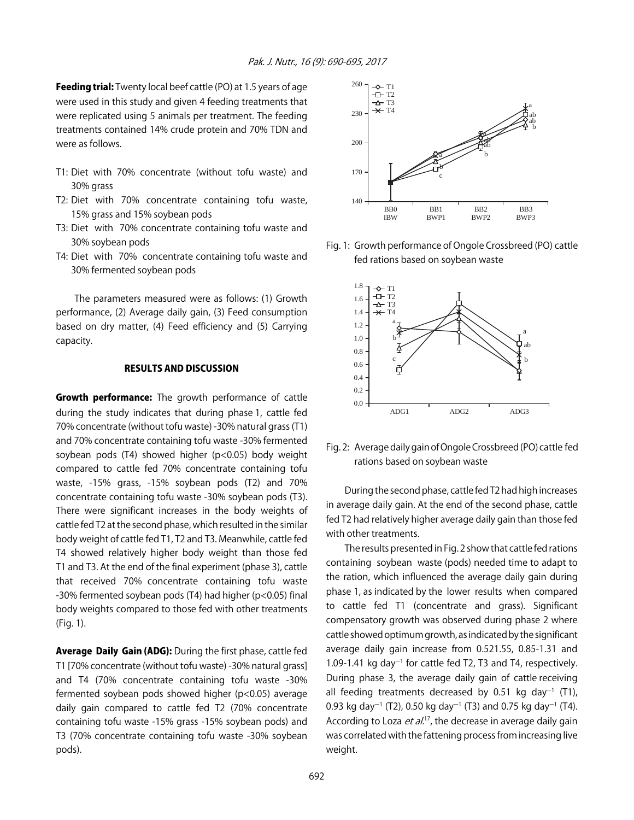Feeding trial: Twenty local beef cattle (PO) at 1.5 years of age were used in this study and given 4 feeding treatments that were replicated using 5 animals per treatment. The feeding treatments contained 14% crude protein and 70% TDN and were as follows.

- T1: Diet with 70% concentrate (without tofu waste) and 30% grass
- T2: Diet with 70% concentrate containing tofu waste, 15% grass and 15% soybean pods
- T3: Diet with 70% concentrate containing tofu waste and 30% soybean pods
- T4: Diet with 70% concentrate containing tofu waste and 30% fermented soybean pods

The parameters measured were as follows: (1) Growth performance, (2) Average daily gain, (3) Feed consumption based on dry matter, (4) Feed efficiency and (5) Carrying capacity.

#### RESULTS AND DISCUSSION

Growth performance: The growth performance of cattle during the study indicates that during phase 1, cattle fed 70% concentrate (without tofu waste) -30% natural grass (T1) and 70% concentrate containing tofu waste -30% fermented soybean pods (T4) showed higher (p<0.05) body weight compared to cattle fed 70% concentrate containing tofu waste, -15% grass, -15% soybean pods (T2) and 70% concentrate containing tofu waste -30% soybean pods (T3). There were significant increases in the body weights of cattle fed T2 at the second phase, which resulted in the similar body weight of cattle fed T1, T2 and T3. Meanwhile, cattle fed T4 showed relatively higher body weight than those fed T1 and T3. At the end of the final experiment (phase 3), cattle that received 70% concentrate containing tofu waste -30% fermented soybean pods (T4) had higher (p<0.05) final body weights compared to those fed with other treatments (Fig. 1).

Average Daily Gain (ADG): During the first phase, cattle fed T1 [70% concentrate (without tofu waste) -30% natural grass] and T4 (70% concentrate containing tofu waste -30% fermented soybean pods showed higher (p<0.05) average daily gain compared to cattle fed T2 (70% concentrate containing tofu waste -15% grass -15% soybean pods) and T3 (70% concentrate containing tofu waste -30% soybean pods).



Fig. 1: Growth performance of Ongole Crossbreed (PO) cattle fed rations based on soybean waste



Fig. 2: Average daily gain of Ongole Crossbreed (PO) cattle fed rations based on soybean waste

During the second phase, cattle fed T2 had high increases in average daily gain. At the end of the second phase, cattle fed T2 had relatively higher average daily gain than those fed with other treatments.

The results presented in Fig. 2 show that cattle fed rations containing soybean waste (pods) needed time to adapt to the ration, which influenced the average daily gain during phase 1, as indicated by the lower results when compared to cattle fed T1 (concentrate and grass). Significant compensatory growth was observed during phase 2 where cattle showed optimum growth, as indicated by the significant average daily gain increase from 0.521.55, 0.85-1.31 and 1.09-1.41 kg day<sup>-1</sup> for cattle fed T2, T3 and T4, respectively. During phase 3, the average daily gain of cattle receiving all feeding treatments decreased by 0.51 kg day<sup>-1</sup> (T1), 0.93 kg day<sup>-1</sup> (T2), 0.50 kg day<sup>-1</sup> (T3) and 0.75 kg day<sup>-1</sup> (T4). According to Loza  $et al.<sup>17</sup>$ , the decrease in average daily gain was correlated with the fattening process from increasing live weight.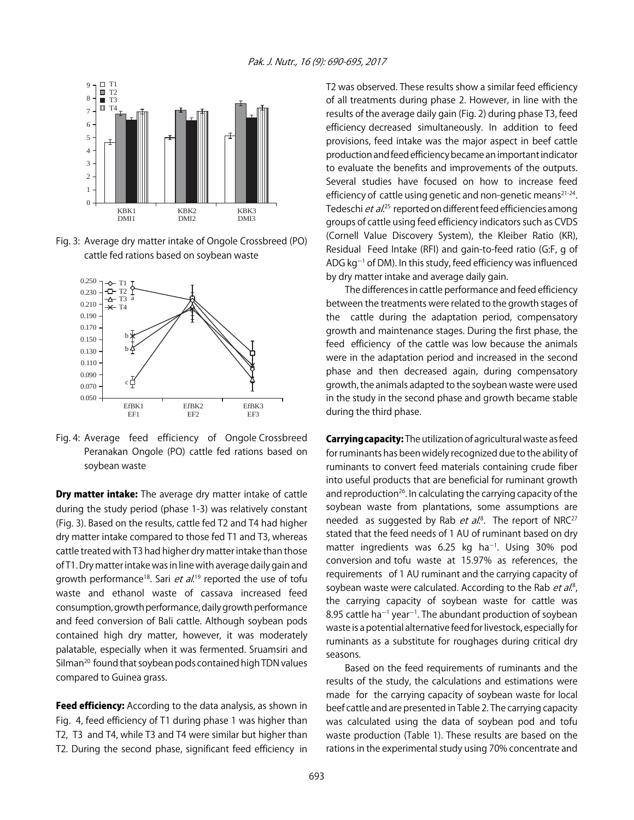

Fig. 3: Average dry matter intake of Ongole Crossbreed (PO) cattle fed rations based on soybean waste



Fig. 4: Average feed efficiency of Ongole Crossbreed Peranakan Ongole (PO) cattle fed rations based on soybean waste

**Dry matter intake:** The average dry matter intake of cattle during the study period (phase 1-3) was relatively constant (Fig. 3). Based on the results, cattle fed T2 and T4 had higher dry matter intake compared to those fed T1 and T3, whereas cattle treated with T3 had higher dry matter intake than those of T1. Dry matter intake was in line with average daily gain and growth performance<sup>18</sup>. Sari *et al*.<sup>19</sup> reported the use of tofu waste and ethanol waste of cassava increased feed consumption, growth performance, daily growth performance and feed conversion of Bali cattle. Although soybean pods contained high dry matter, however, it was moderately palatable, especially when it was fermented. Sruamsiri and Silman<sup>20</sup> found that soybean pods contained high TDN values compared to Guinea grass.

Feed efficiency: According to the data analysis, as shown in Fig. 4, feed efficiency of T1 during phase 1 was higher than T2, T3 and T4, while T3 and T4 were similar but higher than T2. During the second phase, significant feed efficiency in

T2 was observed. These results show a similar feed efficiency of all treatments during phase 2. However, in line with the results of the average daily gain (Fig. 2) during phase T3, feed efficiency decreased simultaneously. In addition to feed provisions, feed intake was the major aspect in beef cattle production and feed efficiency became an important indicator to evaluate the benefits and improvements of the outputs. Several studies have focused on how to increase feed efficiency of cattle using genetic and non-genetic means $2^{1-24}$ . Tedeschi et al.<sup>25</sup> reported on different feed efficiencies among groups of cattle using feed efficiency indicators such as CVDS (Cornell Value Discovery System), the Kleiber Ratio (KR), Residual Feed Intake (RFI) and gain-to-feed ratio (G:F, g of ADG kg<sup>-1</sup> of DM). In this study, feed efficiency was influenced by dry matter intake and average daily gain.

The differences in cattle performance and feed efficiency between the treatments were related to the growth stages of the cattle during the adaptation period, compensatory growth and maintenance stages. During the first phase, the feed efficiency of the cattle was low because the animals were in the adaptation period and increased in the second phase and then decreased again, during compensatory growth, the animals adapted to the soybean waste were used in the study in the second phase and growth became stable during the third phase.

**Carrying capacity:** The utilization of agricultural waste as feed for ruminants has been widely recognized due to the ability of ruminants to convert feed materials containing crude fiber into useful products that are beneficial for ruminant growth and reproduction<sup>26</sup>. In calculating the carrying capacity of the soybean waste from plantations, some assumptions are needed as suggested by Rab *et al.*<sup>8</sup>. The report of NRC<sup>27</sup> stated that the feed needs of 1 AU of ruminant based on dry matter ingredients was  $6.25$  kg ha<sup>-1</sup>. Using 30% pod conversion and tofu waste at 15.97% as references, the requirements of 1 AU ruminant and the carrying capacity of soybean waste were calculated. According to the Rab et al.<sup>8</sup>, the carrying capacity of soybean waste for cattle was  $8.95$  cattle ha $^{-1}$  year $^{-1}$ . The abundant production of soybean waste is a potential alternative feed for livestock, especially for ruminants as a substitute for roughages during critical dry seasons.

Based on the feed requirements of ruminants and the results of the study, the calculations and estimations were made for the carrying capacity of soybean waste for local beef cattle and are presented in Table 2. The carrying capacity was calculated using the data of soybean pod and tofu waste production (Table 1). These results are based on the rations in the experimental study using 70% concentrate and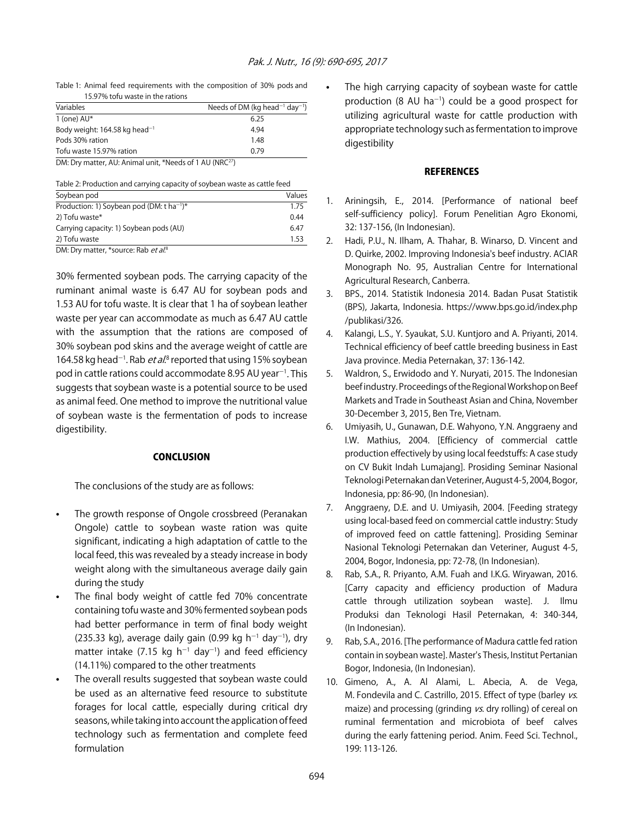Table 1: Animal feed requirements with the composition of 30% pods and 15.97% tofu waste in the rations

| Variables                                 | Needs of DM (kg head <sup>-1</sup> day <sup>-1</sup> ) |
|-------------------------------------------|--------------------------------------------------------|
| 1 (one) $AU^*$                            | 6.25                                                   |
| Body weight: 164.58 kg head <sup>-1</sup> | 4.94                                                   |
| Pods 30% ration                           | 1.48                                                   |
| Tofu waste 15.97% ration                  | 0.79                                                   |
| .<br>.<br>- - - -                         |                                                        |

DM: Dry matter, AU: Animal unit, \*Needs of 1 AU (NRC<sup>27</sup>)

Table 2: Production and carrying capacity of soybean waste as cattle feed

| Soybean pod                                           | Values |
|-------------------------------------------------------|--------|
| Production: 1) Soybean pod (DM: t ha <sup>-1</sup> )* | 1.75   |
| 2) Tofu waste*                                        | 0.44   |
| Carrying capacity: 1) Soybean pods (AU)               | 6.47   |
| 2) Tofu waste                                         | 1.53   |
| $-$<br>___                                            |        |

DM: Dry matter, \*source: Rab et al.8

30% fermented soybean pods. The carrying capacity of the ruminant animal waste is 6.47 AU for soybean pods and 1.53 AU for tofu waste. It is clear that 1 ha of soybean leather waste per year can accommodate as much as 6.47 AU cattle with the assumption that the rations are composed of 30% soybean pod skins and the average weight of cattle are 164.58 kg head<sup>-1</sup>. Rab *et al*.<sup>8</sup> reported that using 15% soybean pod in cattle rations could accommodate 8.95 AU year<sup>-1</sup>. This suggests that soybean waste is a potential source to be used as animal feed. One method to improve the nutritional value of soybean waste is the fermentation of pods to increase digestibility.

#### **CONCLUSION**

The conclusions of the study are as follows:

- The growth response of Ongole crossbreed (Peranakan Ongole) cattle to soybean waste ration was quite significant, indicating a high adaptation of cattle to the local feed, this was revealed by a steady increase in body weight along with the simultaneous average daily gain during the study
- The final body weight of cattle fed 70% concentrate containing tofu waste and 30% fermented soybean pods had better performance in term of final body weight  $(235.33 \text{ kg})$ , average daily gain  $(0.99 \text{ kg h}^{-1} \text{ day}^{-1})$ , dry matter intake (7.15 kg  $h^{-1}$  day<sup>-1</sup>) and feed efficiency (14.11%) compared to the other treatments
- The overall results suggested that soybean waste could be used as an alternative feed resource to substitute forages for local cattle, especially during critical dry seasons, while taking into account the application of feed technology such as fermentation and complete feed formulation

The high carrying capacity of soybean waste for cattle production (8 AU ha<sup>-1</sup>) could be a good prospect for utilizing agricultural waste for cattle production with appropriate technology such as fermentation to improve digestibility

#### **REFERENCES**

- 1. Ariningsih, E., 2014. [Performance of national beef self-sufficiency policy]. Forum Penelitian Agro Ekonomi, 32: 137-156, (In Indonesian).
- 2. Hadi, P.U., N. Ilham, A. Thahar, B. Winarso, D. Vincent and D. Quirke, 2002. Improving Indonesia's beef industry. ACIAR Monograph No. 95, Australian Centre for International Agricultural Research, Canberra.
- 3. BPS., 2014. Statistik Indonesia 2014. Badan Pusat Statistik (BPS), Jakarta, Indonesia. https://www.bps.go.id/index.php /publikasi/326.
- 4. Kalangi, L.S., Y. Syaukat, S.U. Kuntjoro and A. Priyanti, 2014. Technical efficiency of beef cattle breeding business in East Java province. Media Peternakan, 37: 136-142.
- 5. Waldron, S., Erwidodo and Y. Nuryati, 2015. The Indonesian beef industry. Proceedings of the Regional Workshop on Beef Markets and Trade in Southeast Asian and China, November 30-December 3, 2015, Ben Tre, Vietnam.
- 6. Umiyasih, U., Gunawan, D.E. Wahyono, Y.N. Anggraeny and I.W. Mathius, 2004. [Efficiency of commercial cattle production effectively by using local feedstuffs: A case study on CV Bukit Indah Lumajang]. Prosiding Seminar Nasional Teknologi Peternakan dan Veteriner, August 4-5, 2004, Bogor, Indonesia, pp: 86-90, (In Indonesian).
- 7. Anggraeny, D.E. and U. Umiyasih, 2004. [Feeding strategy using local-based feed on commercial cattle industry: Study of improved feed on cattle fattening]. Prosiding Seminar Nasional Teknologi Peternakan dan Veteriner, August 4-5, 2004, Bogor, Indonesia, pp: 72-78, (In Indonesian).
- 8. Rab, S.A., R. Priyanto, A.M. Fuah and I.K.G. Wiryawan, 2016. [Carry capacity and efficiency production of Madura cattle through utilization soybean waste]. J. Ilmu Produksi dan Teknologi Hasil Peternakan, 4: 340-344, (In Indonesian).
- 9. Rab, S.A., 2016. [The performance of Madura cattle fed ration contain in soybean waste]. Master's Thesis, Institut Pertanian Bogor, Indonesia, (In Indonesian).
- 10. Gimeno, A., A. Al Alami, L. Abecia, A. de Vega, M. Fondevila and C. Castrillo, 2015. Effect of type (barley vs. maize) and processing (grinding vs. dry rolling) of cereal on ruminal fermentation and microbiota of beef calves during the early fattening period. Anim. Feed Sci. Technol., 199: 113-126.